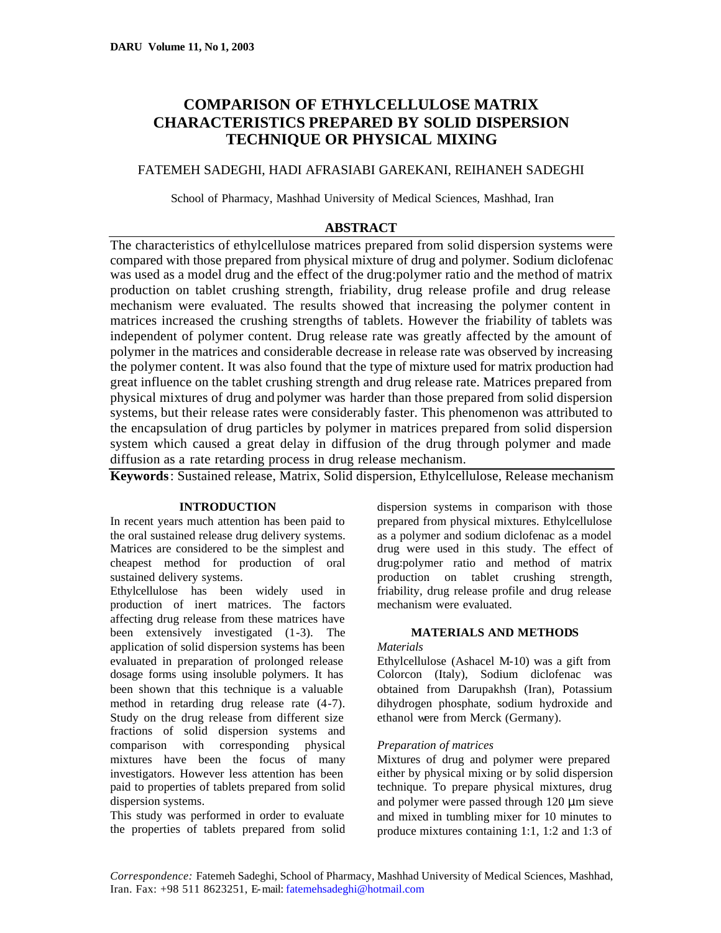# **COMPARISON OF ETHYLCELLULOSE MATRIX CHARACTERISTICS PREPARED BY SOLID DISPERSION TECHNIQUE OR PHYSICAL MIXING**

## FATEMEH SADEGHI, HADI AFRASIABI GAREKANI, REIHANEH SADEGHI

School of Pharmacy, Mashhad University of Medical Sciences, Mashhad, Iran

## **ABSTRACT**

The characteristics of ethylcellulose matrices prepared from solid dispersion systems were compared with those prepared from physical mixture of drug and polymer. Sodium diclofenac was used as a model drug and the effect of the drug:polymer ratio and the method of matrix production on tablet crushing strength, friability, drug release profile and drug release mechanism were evaluated. The results showed that increasing the polymer content in matrices increased the crushing strengths of tablets. However the friability of tablets was independent of polymer content. Drug release rate was greatly affected by the amount of polymer in the matrices and considerable decrease in release rate was observed by increasing the polymer content. It was also found that the type of mixture used for matrix production had great influence on the tablet crushing strength and drug release rate. Matrices prepared from physical mixtures of drug and polymer was harder than those prepared from solid dispersion systems, but their release rates were considerably faster. This phenomenon was attributed to the encapsulation of drug particles by polymer in matrices prepared from solid dispersion system which caused a great delay in diffusion of the drug through polymer and made diffusion as a rate retarding process in drug release mechanism.

**Keywords**: Sustained release, Matrix, Solid dispersion, Ethylcellulose, Release mechanism

### **INTRODUCTION**

In recent years much attention has been paid to the oral sustained release drug delivery systems. Matrices are considered to be the simplest and cheapest method for production of oral sustained delivery systems.

Ethylcellulose has been widely used in production of inert matrices. The factors affecting drug release from these matrices have been extensively investigated (1-3). The application of solid dispersion systems has been evaluated in preparation of prolonged release dosage forms using insoluble polymers. It has been shown that this technique is a valuable method in retarding drug release rate (4-7). Study on the drug release from different size fractions of solid dispersion systems and comparison with corresponding physical mixtures have been the focus of many investigators. However less attention has been paid to properties of tablets prepared from solid dispersion systems.

This study was performed in order to evaluate the properties of tablets prepared from solid dispersion systems in comparison with those prepared from physical mixtures. Ethylcellulose as a polymer and sodium diclofenac as a model drug were used in this study. The effect of drug:polymer ratio and method of matrix production on tablet crushing strength, friability, drug release profile and drug release mechanism were evaluated.

## **MATERIALS AND METHODS**

### *Materials*

Ethylcellulose (Ashacel M-10) was a gift from Colorcon (Italy), Sodium diclofenac was obtained from Darupakhsh (Iran), Potassium dihydrogen phosphate, sodium hydroxide and ethanol were from Merck (Germany).

### *Preparation of matrices*

Mixtures of drug and polymer were prepared either by physical mixing or by solid dispersion technique. To prepare physical mixtures, drug and polymer were passed through 120 μm sieve and mixed in tumbling mixer for 10 minutes to produce mixtures containing 1:1, 1:2 and 1:3 of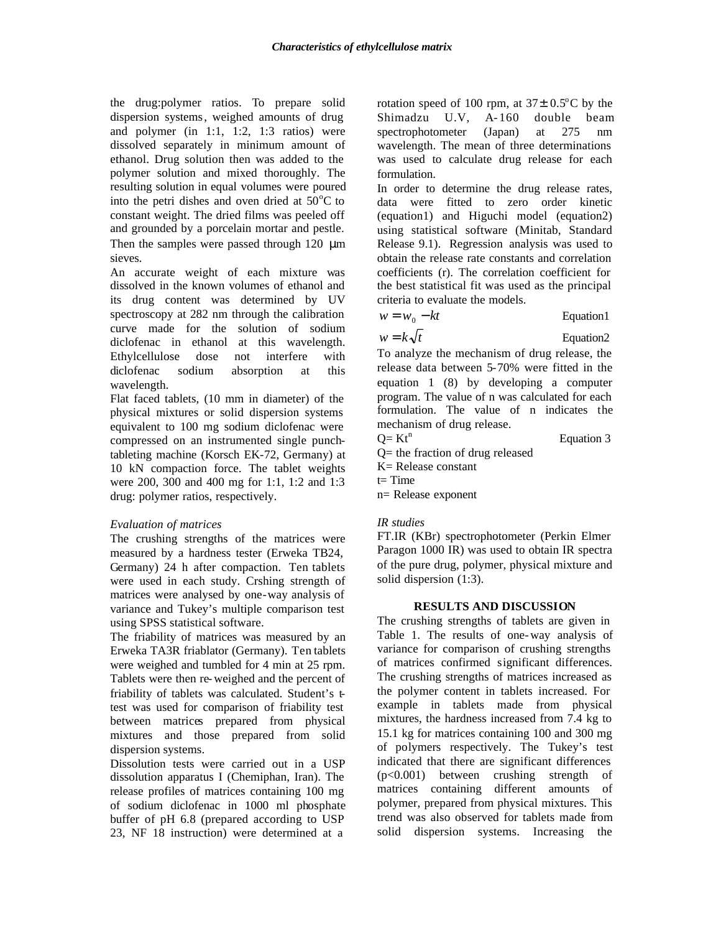the drug:polymer ratios. To prepare solid dispersion systems, weighed amounts of drug and polymer (in 1:1, 1:2, 1:3 ratios) were dissolved separately in minimum amount of ethanol. Drug solution then was added to the polymer solution and mixed thoroughly. The resulting solution in equal volumes were poured into the petri dishes and oven dried at  $50^{\circ}$ C to constant weight. The dried films was peeled off and grounded by a porcelain mortar and pestle. Then the samples were passed through 120 μm sieves.

An accurate weight of each mixture was dissolved in the known volumes of ethanol and its drug content was determined by UV spectroscopy at 282 nm through the calibration curve made for the solution of sodium diclofenac in ethanol at this wavelength. Ethylcellulose dose not interfere with diclofenac sodium absorption at this wavelength.

Flat faced tablets, (10 mm in diameter) of the physical mixtures or solid dispersion systems equivalent to 100 mg sodium diclofenac were compressed on an instrumented single punchtableting machine (Korsch EK-72, Germany) at 10 kN compaction force. The tablet weights were 200, 300 and 400 mg for 1:1, 1:2 and 1:3 drug: polymer ratios, respectively.

### *Evaluation of matrices*

The crushing strengths of the matrices were measured by a hardness tester (Erweka TB24, Germany) 24 h after compaction. Ten tablets were used in each study. Crshing strength of matrices were analysed by one-way analysis of variance and Tukey's multiple comparison test using SPSS statistical software.

The friability of matrices was measured by an Erweka TA3R friablator (Germany). Ten tablets were weighed and tumbled for 4 min at 25 rpm. Tablets were then re-weighed and the percent of friability of tablets was calculated. Student's ttest was used for comparison of friability test between matrices prepared from physical mixtures and those prepared from solid dispersion systems.

Dissolution tests were carried out in a USP dissolution apparatus I (Chemiphan, Iran). The release profiles of matrices containing 100 mg of sodium diclofenac in 1000 ml phosphate buffer of pH 6.8 (prepared according to USP 23, NF 18 instruction) were determined at a

rotation speed of 100 rpm, at  $37\pm 0.5^{\circ}$ C by the Shimadzu U.V, A- 160 double beam spectrophotometer (Japan) at 275 nm wavelength. The mean of three determinations was used to calculate drug release for each formulation.

In order to determine the drug release rates, data were fitted to zero order kinetic (equation1) and Higuchi model (equation2) using statistical software (Minitab, Standard Release 9.1). Regression analysis was used to obtain the release rate constants and correlation coefficients (r). The correlation coefficient for the best statistical fit was used as the principal criteria to evaluate the models.

$$
w = w_0 - kt \qquad \qquad \text{Equation 1}
$$

 $w = k\sqrt{t}$  Equation2

To analyze the mechanism of drug release, the release data between 5-70% were fitted in the equation 1 (8) by developing a computer program. The value of n was calculated for each formulation. The value of n indicates the mechanism of drug release.

Equation 3

- Q= the fraction of drug released
- K= Release constant
- $t=$  Time

 $Q= Kt^n$ 

n= Release exponent

### *IR studies*

FT.IR (KBr) spectrophotometer (Perkin Elmer Paragon 1000 IR) was used to obtain IR spectra of the pure drug, polymer, physical mixture and solid dispersion (1:3).

### **RESULTS AND DISCUSSION**

The crushing strengths of tablets are given in Table 1. The results of one-way analysis of variance for comparison of crushing strengths of matrices confirmed significant differences. The crushing strengths of matrices increased as the polymer content in tablets increased. For example in tablets made from physical mixtures, the hardness increased from 7.4 kg to 15.1 kg for matrices containing 100 and 300 mg of polymers respectively. The Tukey's test indicated that there are significant differences (p<0.001) between crushing strength of matrices containing different amounts of polymer, prepared from physical mixtures. This trend was also observed for tablets made from solid dispersion systems. Increasing the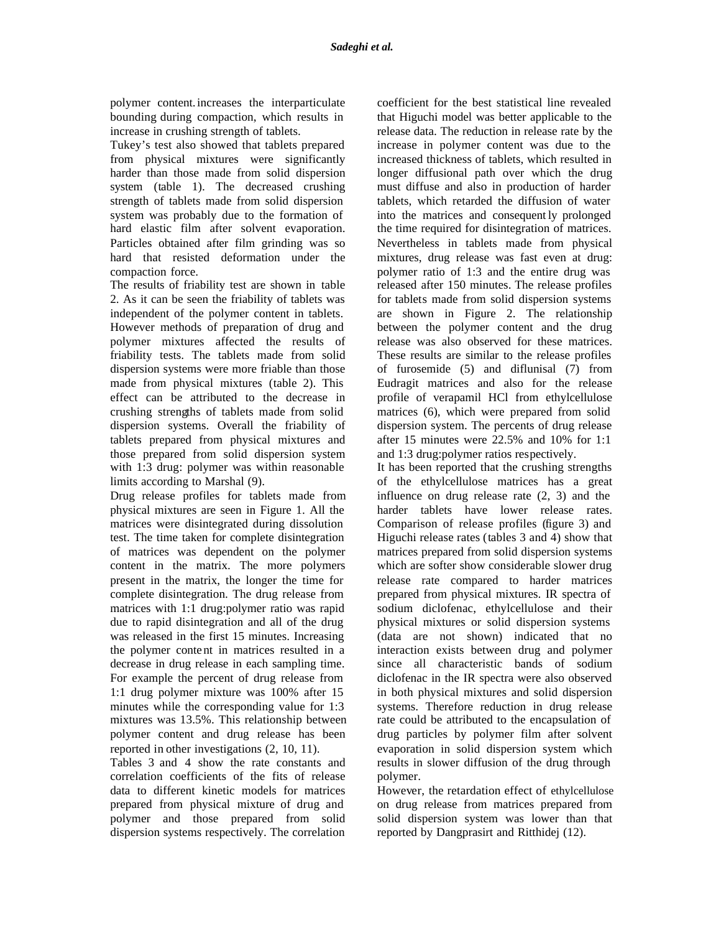polymer content.increases the interparticulate bounding during compaction, which results in increase in crushing strength of tablets.

Tukey's test also showed that tablets prepared from physical mixtures were significantly harder than those made from solid dispersion system (table 1). The decreased crushing strength of tablets made from solid dispersion system was probably due to the formation of hard elastic film after solvent evaporation. Particles obtained after film grinding was so hard that resisted deformation under the compaction force.

The results of friability test are shown in table 2. As it can be seen the friability of tablets was independent of the polymer content in tablets. However methods of preparation of drug and polymer mixtures affected the results of friability tests. The tablets made from solid dispersion systems were more friable than those made from physical mixtures (table 2). This effect can be attributed to the decrease in crushing strengths of tablets made from solid dispersion systems. Overall the friability of tablets prepared from physical mixtures and those prepared from solid dispersion system with 1:3 drug: polymer was within reasonable limits according to Marshal (9).

Drug release profiles for tablets made from physical mixtures are seen in Figure 1. All the matrices were disintegrated during dissolution test. The time taken for complete disintegration of matrices was dependent on the polymer content in the matrix. The more polymers present in the matrix, the longer the time for complete disintegration. The drug release from matrices with 1:1 drug:polymer ratio was rapid due to rapid disintegration and all of the drug was released in the first 15 minutes. Increasing the polymer content in matrices resulted in a decrease in drug release in each sampling time. For example the percent of drug release from 1:1 drug polymer mixture was 100% after 15 minutes while the corresponding value for 1:3 mixtures was 13.5%. This relationship between polymer content and drug release has been reported in other investigations (2, 10, 11).

Tables 3 and 4 show the rate constants and correlation coefficients of the fits of release data to different kinetic models for matrices prepared from physical mixture of drug and polymer and those prepared from solid dispersion systems respectively. The correlation

coefficient for the best statistical line revealed that Higuchi model was better applicable to the release data. The reduction in release rate by the increase in polymer content was due to the increased thickness of tablets, which resulted in longer diffusional path over which the drug must diffuse and also in production of harder tablets, which retarded the diffusion of water into the matrices and consequent ly prolonged the time required for disintegration of matrices. Nevertheless in tablets made from physical mixtures, drug release was fast even at drug: polymer ratio of 1:3 and the entire drug was released after 150 minutes. The release profiles for tablets made from solid dispersion systems are shown in Figure 2. The relationship between the polymer content and the drug release was also observed for these matrices. These results are similar to the release profiles of furosemide (5) and diflunisal (7) from Eudragit matrices and also for the release profile of verapamil HCl from ethylcellulose matrices (6), which were prepared from solid dispersion system. The percents of drug release after 15 minutes were 22.5% and 10% for 1:1 and 1:3 drug:polymer ratios respectively.

It has been reported that the crushing strengths of the ethylcellulose matrices has a great influence on drug release rate (2, 3) and the harder tablets have lower release rates. Comparison of release profiles (figure 3) and Higuchi release rates (tables 3 and 4) show that matrices prepared from solid dispersion systems which are softer show considerable slower drug release rate compared to harder matrices prepared from physical mixtures. IR spectra of sodium diclofenac, ethylcellulose and their physical mixtures or solid dispersion systems (data are not shown) indicated that no interaction exists between drug and polymer since all characteristic bands of sodium diclofenac in the IR spectra were also observed in both physical mixtures and solid dispersion systems. Therefore reduction in drug release rate could be attributed to the encapsulation of drug particles by polymer film after solvent evaporation in solid dispersion system which results in slower diffusion of the drug through polymer.

However, the retardation effect of ethylcellulose on drug release from matrices prepared from solid dispersion system was lower than that reported by Dangprasirt and Ritthidej (12).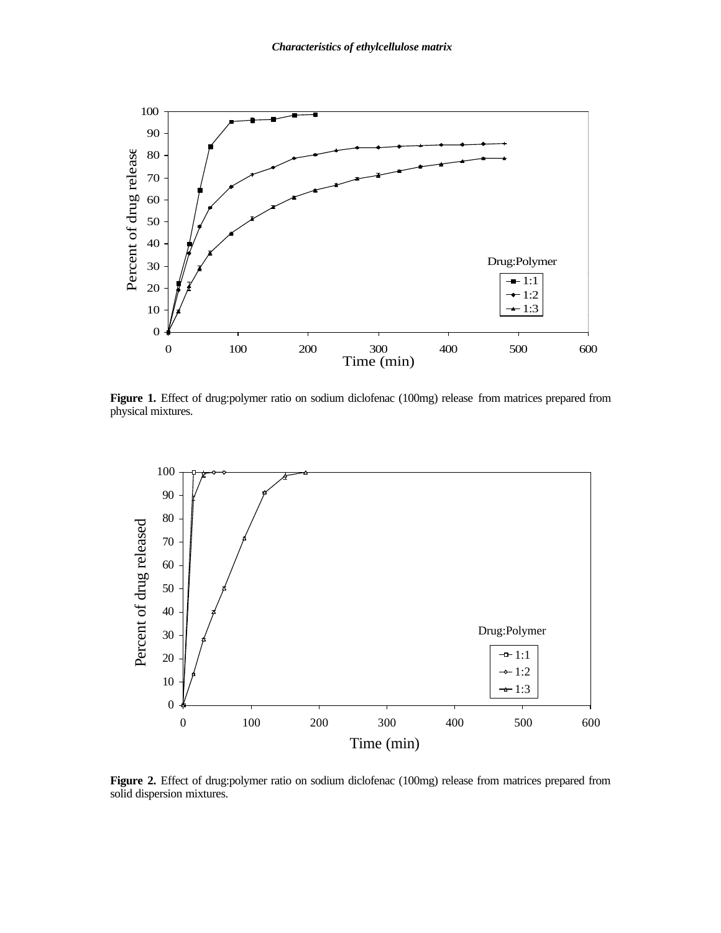

**Figure 1.** Effect of drug:polymer ratio on sodium diclofenac (100mg) release from matrices prepared from physical mixtures.



**Figure 2.** Effect of drug:polymer ratio on sodium diclofenac (100mg) release from matrices prepared from solid dispersion mixtures.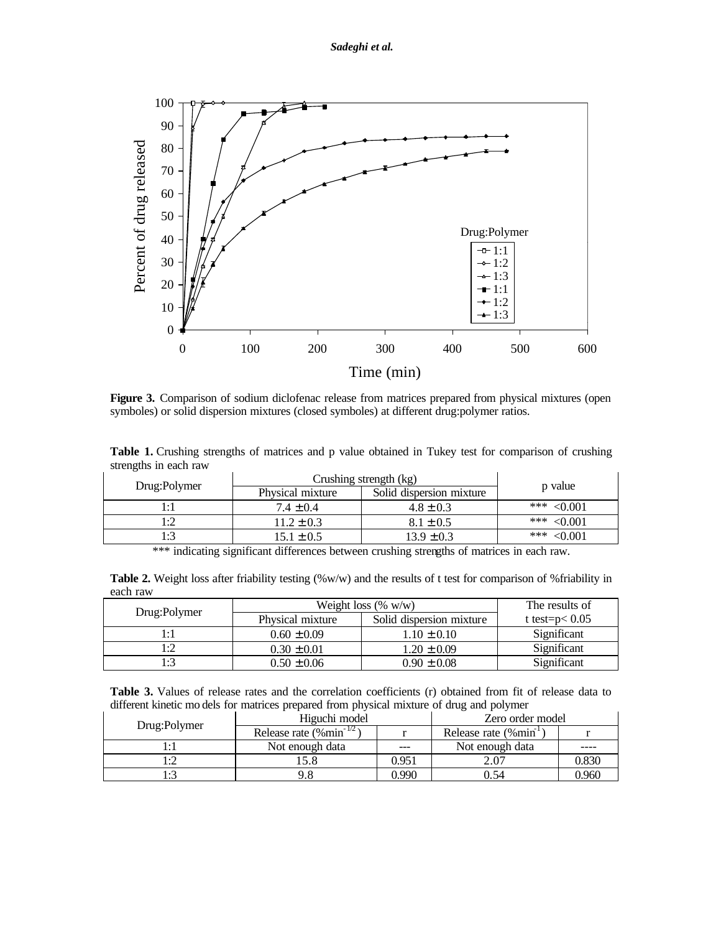

**Figure 3.** Comparison of sodium diclofenac release from matrices prepared from physical mixtures (open symboles) or solid dispersion mixtures (closed symboles) at different drug:polymer ratios.

**Table 1.** Crushing strengths of matrices and p value obtained in Tukey test for comparison of crushing strengths in each raw

| Physical mixture | Solid dispersion mixture | p value                |
|------------------|--------------------------|------------------------|
| $7.4 \pm 0.4$    | $4.8 \pm 0.3$            | *** $< 0.001$          |
| $11.2 \pm 0.3$   | $8.1 \pm 0.5$            | *** $< 0.001$          |
| $15.1 \pm 0.5$   | $13.9 \pm 0.3$           | *** $< 0.001$          |
|                  |                          | Crushing strength (kg) |

\*\*\* indicating significant differences between crushing strengths of matrices in each raw.

|          | <b>Table 2.</b> Weight loss after friability testing $(\%w/w)$ and the results of t test for comparison of % friability in |
|----------|----------------------------------------------------------------------------------------------------------------------------|
| each raw |                                                                                                                            |

|              |                  | Weight loss $(\% w/w)$   | The results of    |  |
|--------------|------------------|--------------------------|-------------------|--|
| Drug:Polymer | Physical mixture | Solid dispersion mixture | t test= $p< 0.05$ |  |
|              | $0.60 \pm 0.09$  | $1.10 \pm 0.10$          | Significant       |  |
|              | $0.30 \pm 0.01$  | $1.20 \pm 0.09$          | Significant       |  |
|              | $0.50 \pm 0.06$  | $0.90 \pm 0.08$          | Significant       |  |

**Table 3.** Values of release rates and the correlation coefficients (r) obtained from fit of release data to different kinetic mo dels for matrices prepared from physical mixture of drug and polymer

|              | Higuchi model                         |       | Zero order model                  |       |  |  |
|--------------|---------------------------------------|-------|-----------------------------------|-------|--|--|
| Drug:Polymer | Release rate $(\% \text{min}^{-1/2})$ |       | Release rate (%min <sup>1</sup> ) |       |  |  |
|              | Not enough data                       | $---$ | Not enough data                   |       |  |  |
|              | 5.8                                   | 0.951 | 2.07                              | 0.830 |  |  |
|              |                                       | ).990 | 0.54                              | ).960 |  |  |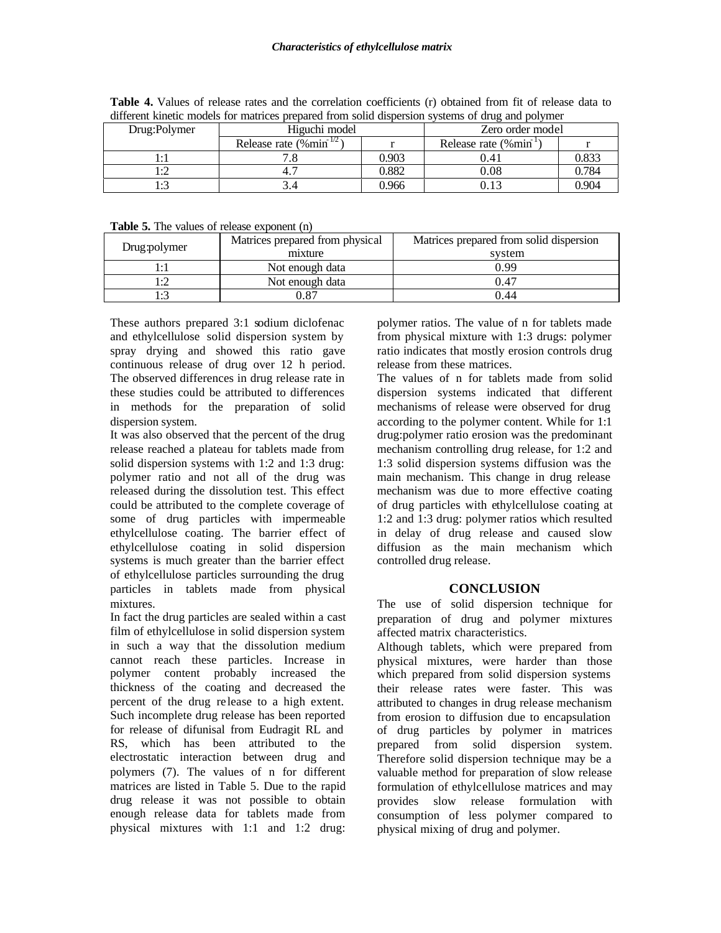| Drug:Polymer | Higuchi model                        |       | Zero order model                 |       |  |
|--------------|--------------------------------------|-------|----------------------------------|-------|--|
|              | Release rate $(\% \text{min}^{1/2})$ |       | Release rate (%min <sup>-1</sup> |       |  |
|              |                                      | 0.903 | 9.4 <sub>1</sub>                 | 0.833 |  |
|              |                                      | 0.882 | $0.08\,$                         | 0.784 |  |
| . . 7        |                                      | 0.966 |                                  | 0.904 |  |

**Table 4.** Values of release rates and the correlation coefficients (r) obtained from fit of release data to different kinetic models for matrices prepared from solid dispersion systems of drug and polymer

| <b>Table 5.</b> The values of release exponent (n) |  |  |  |  |
|----------------------------------------------------|--|--|--|--|
|                                                    |  |  |  |  |

| Drug:polymer | Matrices prepared from physical<br>mixture | Matrices prepared from solid dispersion<br>system |
|--------------|--------------------------------------------|---------------------------------------------------|
|              | Not enough data                            | 0.99                                              |
|              | Not enough data                            | 0.47                                              |
|              | 87                                         | ).44                                              |

These authors prepared 3:1 sodium diclofenac and ethylcellulose solid dispersion system by spray drying and showed this ratio gave continuous release of drug over 12 h period. The observed differences in drug release rate in these studies could be attributed to differences in methods for the preparation of solid dispersion system.

It was also observed that the percent of the drug release reached a plateau for tablets made from solid dispersion systems with 1:2 and 1:3 drug: polymer ratio and not all of the drug was released during the dissolution test. This effect could be attributed to the complete coverage of some of drug particles with impermeable ethylcellulose coating. The barrier effect of ethylcellulose coating in solid dispersion systems is much greater than the barrier effect of ethylcellulose particles surrounding the drug particles in tablets made from physical mixtures.

In fact the drug particles are sealed within a cast film of ethylcellulose in solid dispersion system in such a way that the dissolution medium cannot reach these particles. Increase in polymer content probably increased the thickness of the coating and decreased the percent of the drug re lease to a high extent. Such incomplete drug release has been reported for release of difunisal from Eudragit RL and RS, which has been attributed to the electrostatic interaction between drug and polymers (7). The values of n for different matrices are listed in Table 5. Due to the rapid drug release it was not possible to obtain enough release data for tablets made from physical mixtures with 1:1 and 1:2 drug:

polymer ratios. The value of n for tablets made from physical mixture with 1:3 drugs: polymer ratio indicates that mostly erosion controls drug release from these matrices.

The values of n for tablets made from solid dispersion systems indicated that different mechanisms of release were observed for drug according to the polymer content. While for 1:1 drug:polymer ratio erosion was the predominant mechanism controlling drug release, for 1:2 and 1:3 solid dispersion systems diffusion was the main mechanism. This change in drug release mechanism was due to more effective coating of drug particles with ethylcellulose coating at 1:2 and 1:3 drug: polymer ratios which resulted in delay of drug release and caused slow diffusion as the main mechanism which controlled drug release.

## **CONCLUSION**

The use of solid dispersion technique for preparation of drug and polymer mixtures affected matrix characteristics.

Although tablets, which were prepared from physical mixtures, were harder than those which prepared from solid dispersion systems their release rates were faster. This was attributed to changes in drug release mechanism from erosion to diffusion due to encapsulation of drug particles by polymer in matrices prepared from solid dispersion system. Therefore solid dispersion technique may be a valuable method for preparation of slow release formulation of ethylcellulose matrices and may provides slow release formulation with consumption of less polymer compared to physical mixing of drug and polymer.